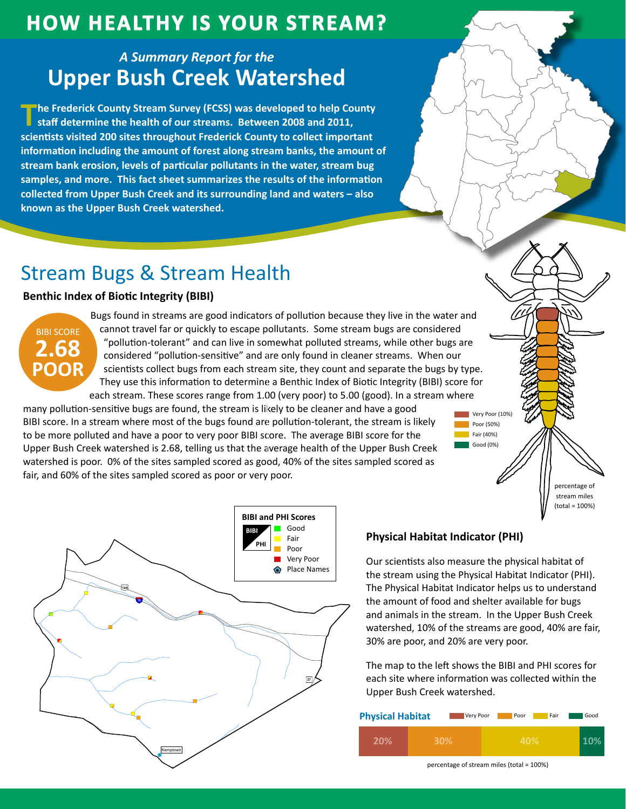## **HOW HEALTHY IS YOUR STREAM?**

### A Summary Report for the **Upper Bush Creek Watershed**

The Frederick County Stream Survey (FCSS) was developed to help County staff determine the health of our streams. Between 2008 and 2011, scientists visited 200 sites throughout Frederick County to collect important information including the amount of forest along stream banks, the amount of stream bank erosion, levels of particular pollutants in the water, stream bug samples, and more. This fact sheet summarizes the results of the information collected from Upper Bush Creek and its surrounding land and waters - also known as the Upper Bush Creek watershed.

# **Stream Bugs & Stream Health**

### **Benthic Index of Biotic Integrity (BIBI)**



Bugs found in streams are good indicators of pollution because they live in the water and cannot travel far or quickly to escape pollutants. Some stream bugs are considered "pollution-tolerant" and can live in somewhat polluted streams, while other bugs are considered "pollution-sensitive" and are only found in cleaner streams. When our scientists collect bugs from each stream site, they count and separate the bugs by type. They use this information to determine a Benthic Index of Biotic Integrity (BIBI) score for each stream. These scores range from 1.00 (very poor) to 5.00 (good). In a stream where

many pollution-sensitive bugs are found, the stream is likely to be cleaner and have a good BIBI score. In a stream where most of the bugs found are pollution-tolerant, the stream is likely to be more polluted and have a poor to very poor BIBI score. The average BIBI score for the Upper Bush Creek watershed is 2.68, telling us that the average health of the Upper Bush Creek watershed is poor. 0% of the sites sampled scored as good, 40% of the sites sampled scored as fair, and 60% of the sites sampled scored as poor or very poor.





### **Physical Habitat Indicator (PHI)**

Our scientists also measure the physical habitat of the stream using the Physical Habitat Indicator (PHI). The Physical Habitat Indicator helps us to understand the amount of food and shelter available for bugs and animals in the stream. In the Upper Bush Creek watershed, 10% of the streams are good, 40% are fair, 30% are poor, and 20% are very poor.

The map to the left shows the BIBI and PHI scores for each site where information was collected within the Upper Bush Creek watershed.

| <b>Physical Habitat</b><br>Very Poor |     | Poor<br>Fair | Good |
|--------------------------------------|-----|--------------|------|
| 20%                                  | 30% | 40%          |      |

percentage of stream miles (total = 100%)